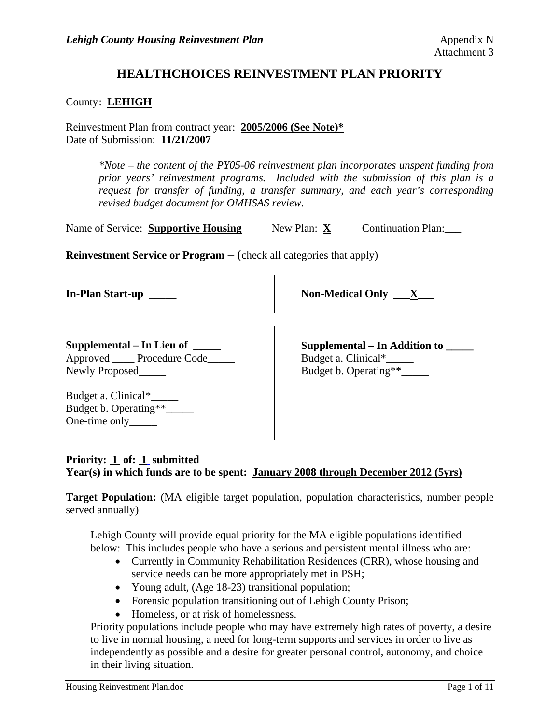# **HEALTHCHOICES REINVESTMENT PLAN PRIORITY**

#### County: LEHIGH

Reinvestment Plan from contract year: **2005/2006 (See Note)\*** Date of Submission: **11/21/2007**

> *\*Note – the content of the PY05-06 reinvestment plan incorporates unspent funding from prior years' reinvestment programs. Included with the submission of this plan is a request for transfer of funding, a transfer summary, and each year's corresponding revised budget document for OMHSAS review.*

| Name of Service: Supportive Housing | New Plan: $X$ | <b>Continuation Plan:</b> |
|-------------------------------------|---------------|---------------------------|
|-------------------------------------|---------------|---------------------------|

**Reinvestment Service or Program** – (check all categories that apply)

| In-Plan Start-up                                                                         | Non-Medical Only $\mathbf{X}$                                                       |  |
|------------------------------------------------------------------------------------------|-------------------------------------------------------------------------------------|--|
| Supplemental – In Lieu of $\_\_$<br>Approved _____ Procedure Code_____<br>Newly Proposed | Supplemental – In Addition to _____<br>Budget a. Clinical*<br>Budget b. Operating** |  |
| Budget a. Clinical*<br>Budget b. Operating**_____<br>One-time only_______                |                                                                                     |  |

# **Priority: 1 of: 1 submitted**

**Year(s) in which funds are to be spent: January 2008 through December 2012 (5yrs)**

**Target Population:** (MA eligible target population, population characteristics, number people served annually)

Lehigh County will provide equal priority for the MA eligible populations identified below: This includes people who have a serious and persistent mental illness who are:

- Currently in Community Rehabilitation Residences (CRR), whose housing and service needs can be more appropriately met in PSH;
- Young adult, (Age 18-23) transitional population;
- Forensic population transitioning out of Lehigh County Prison;
- Homeless, or at risk of homelessness.

Priority populations include people who may have extremely high rates of poverty, a desire to live in normal housing, a need for long-term supports and services in order to live as independently as possible and a desire for greater personal control, autonomy, and choice in their living situation.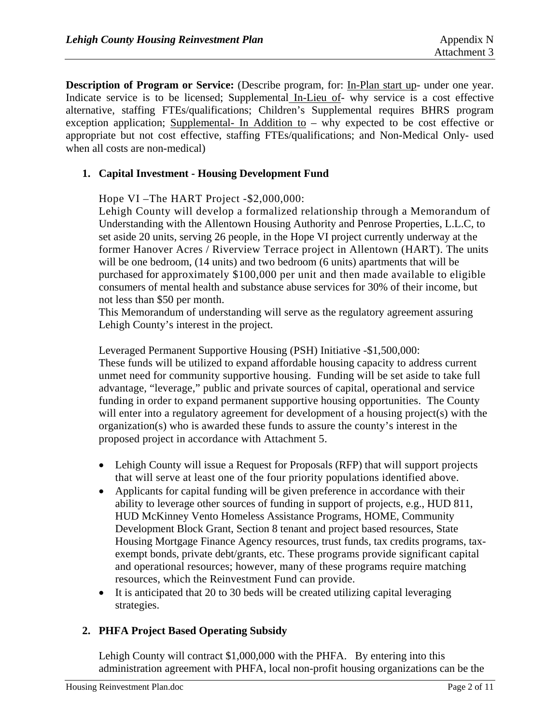**Description of Program or Service:** (Describe program, for: In-Plan start up- under one year. Indicate service is to be licensed; Supplemental In-Lieu of- why service is a cost effective alternative, staffing FTEs/qualifications; Children's Supplemental requires BHRS program exception application; Supplemental- In Addition to – why expected to be cost effective or appropriate but not cost effective, staffing FTEs/qualifications; and Non-Medical Only- used when all costs are non-medical)

## **1. Capital Investment - Housing Development Fund**

Hope VI –The HART Project -\$2,000,000:

Lehigh County will develop a formalized relationship through a Memorandum of Understanding with the Allentown Housing Authority and Penrose Properties, L.L.C, to set aside 20 units, serving 26 people, in the Hope VI project currently underway at the former Hanover Acres / Riverview Terrace project in Allentown (HART). The units will be one bedroom, (14 units) and two bedroom (6 units) apartments that will be purchased for approximately \$100,000 per unit and then made available to eligible consumers of mental health and substance abuse services for 30% of their income, but not less than \$50 per month.

This Memorandum of understanding will serve as the regulatory agreement assuring Lehigh County's interest in the project.

Leveraged Permanent Supportive Housing (PSH) Initiative -\$1,500,000: These funds will be utilized to expand affordable housing capacity to address current unmet need for community supportive housing. Funding will be set aside to take full advantage, "leverage," public and private sources of capital, operational and service funding in order to expand permanent supportive housing opportunities. The County will enter into a regulatory agreement for development of a housing project(s) with the organization(s) who is awarded these funds to assure the county's interest in the proposed project in accordance with Attachment 5.

- Lehigh County will issue a Request for Proposals (RFP) that will support projects that will serve at least one of the four priority populations identified above.
- Applicants for capital funding will be given preference in accordance with their ability to leverage other sources of funding in support of projects, e.g., HUD 811, HUD McKinney Vento Homeless Assistance Programs, HOME, Community Development Block Grant, Section 8 tenant and project based resources, State Housing Mortgage Finance Agency resources, trust funds, tax credits programs, taxexempt bonds, private debt/grants, etc. These programs provide significant capital and operational resources; however, many of these programs require matching resources, which the Reinvestment Fund can provide.
- It is anticipated that 20 to 30 beds will be created utilizing capital leveraging strategies.

#### **2. PHFA Project Based Operating Subsidy**

Lehigh County will contract \$1,000,000 with the PHFA. By entering into this administration agreement with PHFA, local non-profit housing organizations can be the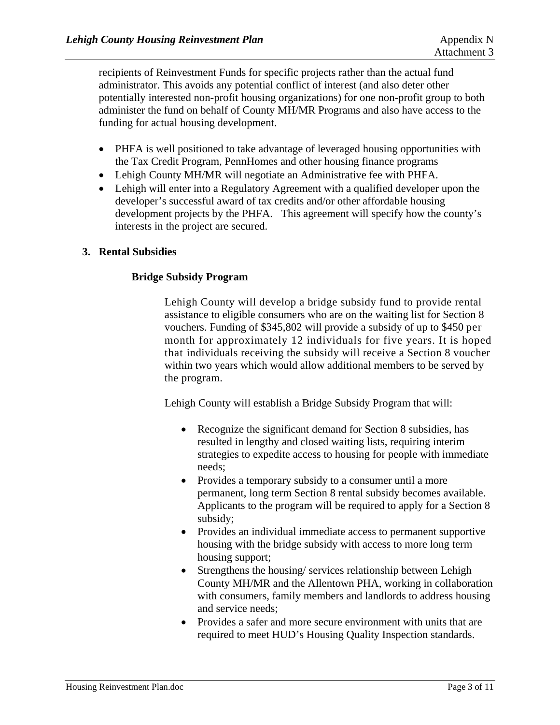recipients of Reinvestment Funds for specific projects rather than the actual fund administrator. This avoids any potential conflict of interest (and also deter other potentially interested non-profit housing organizations) for one non-profit group to both administer the fund on behalf of County MH/MR Programs and also have access to the funding for actual housing development.

- PHFA is well positioned to take advantage of leveraged housing opportunities with the Tax Credit Program, PennHomes and other housing finance programs
- Lehigh County MH/MR will negotiate an Administrative fee with PHFA.
- Lehigh will enter into a Regulatory Agreement with a qualified developer upon the developer's successful award of tax credits and/or other affordable housing development projects by the PHFA. This agreement will specify how the county's interests in the project are secured.

## **3. Rental Subsidies**

## **Bridge Subsidy Program**

Lehigh County will develop a bridge subsidy fund to provide rental assistance to eligible consumers who are on the waiting list for Section 8 vouchers. Funding of \$345,802 will provide a subsidy of up to \$450 per month for approximately 12 individuals for five years. It is hoped that individuals receiving the subsidy will receive a Section 8 voucher within two years which would allow additional members to be served by the program.

Lehigh County will establish a Bridge Subsidy Program that will:

- Recognize the significant demand for Section 8 subsidies, has resulted in lengthy and closed waiting lists, requiring interim strategies to expedite access to housing for people with immediate needs;
- Provides a temporary subsidy to a consumer until a more permanent, long term Section 8 rental subsidy becomes available. Applicants to the program will be required to apply for a Section 8 subsidy;
- Provides an individual immediate access to permanent supportive housing with the bridge subsidy with access to more long term housing support;
- Strengthens the housing/ services relationship between Lehigh County MH/MR and the Allentown PHA, working in collaboration with consumers, family members and landlords to address housing and service needs;
- Provides a safer and more secure environment with units that are required to meet HUD's Housing Quality Inspection standards.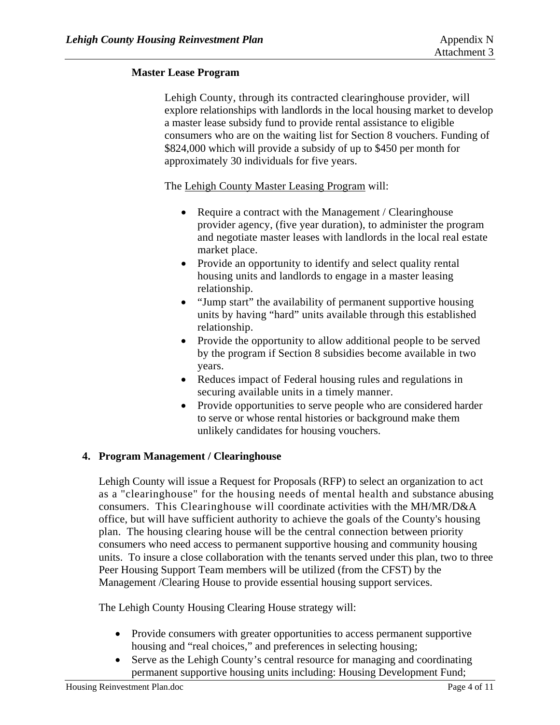## **Master Lease Program**

Lehigh County, through its contracted clearinghouse provider, will explore relationships with landlords in the local housing market to develop a master lease subsidy fund to provide rental assistance to eligible consumers who are on the waiting list for Section 8 vouchers. Funding of \$824,000 which will provide a subsidy of up to \$450 per month for approximately 30 individuals for five years.

The Lehigh County Master Leasing Program will:

- Require a contract with the Management / Clearinghouse provider agency, (five year duration), to administer the program and negotiate master leases with landlords in the local real estate market place.
- Provide an opportunity to identify and select quality rental housing units and landlords to engage in a master leasing relationship.
- "Jump start" the availability of permanent supportive housing units by having "hard" units available through this established relationship.
- Provide the opportunity to allow additional people to be served by the program if Section 8 subsidies become available in two years.
- Reduces impact of Federal housing rules and regulations in securing available units in a timely manner.
- Provide opportunities to serve people who are considered harder to serve or whose rental histories or background make them unlikely candidates for housing vouchers.

# **4. Program Management / Clearinghouse**

Lehigh County will issue a Request for Proposals (RFP) to select an organization to act as a "clearinghouse" for the housing needs of mental health and substance abusing consumers. This Clearinghouse will coordinate activities with the MH/MR/D&A office, but will have sufficient authority to achieve the goals of the County's housing plan. The housing clearing house will be the central connection between priority consumers who need access to permanent supportive housing and community housing units. To insure a close collaboration with the tenants served under this plan, two to three Peer Housing Support Team members will be utilized (from the CFST) by the Management /Clearing House to provide essential housing support services.

The Lehigh County Housing Clearing House strategy will:

- Provide consumers with greater opportunities to access permanent supportive housing and "real choices," and preferences in selecting housing;
- Serve as the Lehigh County's central resource for managing and coordinating permanent supportive housing units including: Housing Development Fund;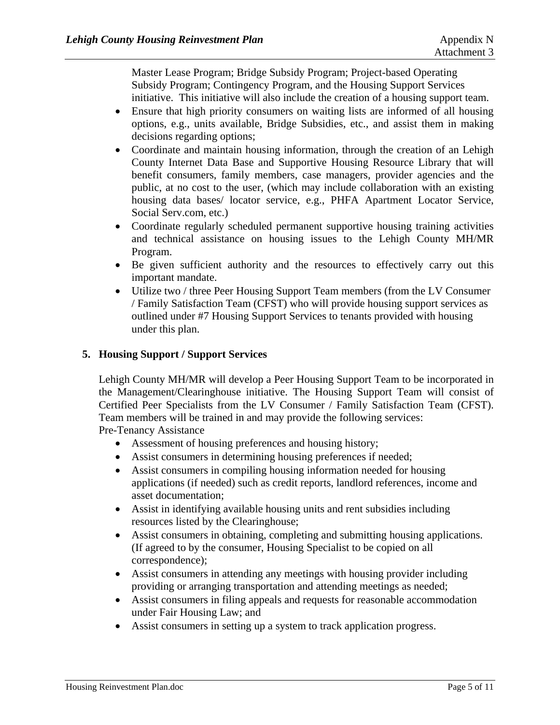Master Lease Program; Bridge Subsidy Program; Project-based Operating Subsidy Program; Contingency Program, and the Housing Support Services initiative. This initiative will also include the creation of a housing support team.

- Ensure that high priority consumers on waiting lists are informed of all housing options, e.g., units available, Bridge Subsidies, etc., and assist them in making decisions regarding options;
- Coordinate and maintain housing information, through the creation of an Lehigh County Internet Data Base and Supportive Housing Resource Library that will benefit consumers, family members, case managers, provider agencies and the public, at no cost to the user, (which may include collaboration with an existing housing data bases/ locator service, e.g., PHFA Apartment Locator Service, Social Serv.com, etc.)
- Coordinate regularly scheduled permanent supportive housing training activities and technical assistance on housing issues to the Lehigh County MH/MR Program.
- Be given sufficient authority and the resources to effectively carry out this important mandate.
- Utilize two / three Peer Housing Support Team members (from the LV Consumer / Family Satisfaction Team (CFST) who will provide housing support services as outlined under #7 Housing Support Services to tenants provided with housing under this plan.

## **5. Housing Support / Support Services**

Lehigh County MH/MR will develop a Peer Housing Support Team to be incorporated in the Management/Clearinghouse initiative. The Housing Support Team will consist of Certified Peer Specialists from the LV Consumer / Family Satisfaction Team (CFST). Team members will be trained in and may provide the following services:

Pre-Tenancy Assistance

- Assessment of housing preferences and housing history;
- Assist consumers in determining housing preferences if needed;
- Assist consumers in compiling housing information needed for housing applications (if needed) such as credit reports, landlord references, income and asset documentation;
- Assist in identifying available housing units and rent subsidies including resources listed by the Clearinghouse;
- Assist consumers in obtaining, completing and submitting housing applications. (If agreed to by the consumer, Housing Specialist to be copied on all correspondence);
- Assist consumers in attending any meetings with housing provider including providing or arranging transportation and attending meetings as needed;
- Assist consumers in filing appeals and requests for reasonable accommodation under Fair Housing Law; and
- Assist consumers in setting up a system to track application progress.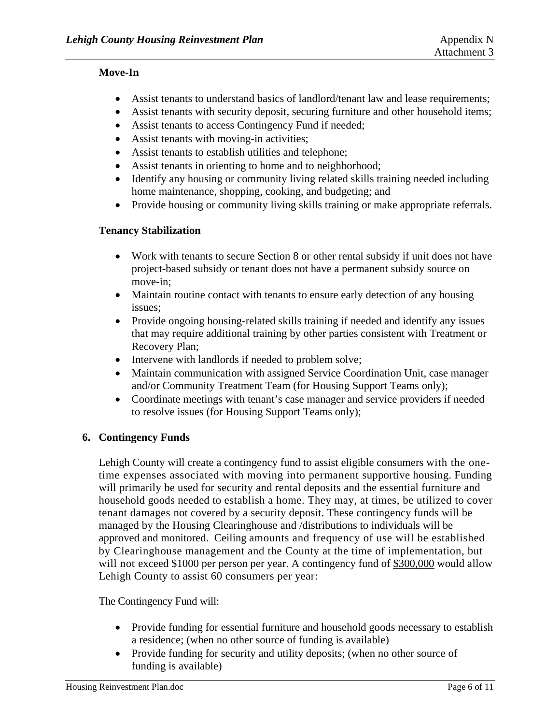## **Move-In**

- Assist tenants to understand basics of landlord/tenant law and lease requirements;
- Assist tenants with security deposit, securing furniture and other household items;
- Assist tenants to access Contingency Fund if needed;
- Assist tenants with moving-in activities;
- Assist tenants to establish utilities and telephone;
- Assist tenants in orienting to home and to neighborhood;
- Identify any housing or community living related skills training needed including home maintenance, shopping, cooking, and budgeting; and
- Provide housing or community living skills training or make appropriate referrals.

## **Tenancy Stabilization**

- Work with tenants to secure Section 8 or other rental subsidy if unit does not have project-based subsidy or tenant does not have a permanent subsidy source on move-in;
- Maintain routine contact with tenants to ensure early detection of any housing issues;
- Provide ongoing housing-related skills training if needed and identify any issues that may require additional training by other parties consistent with Treatment or Recovery Plan;
- Intervene with landlords if needed to problem solve;
- Maintain communication with assigned Service Coordination Unit, case manager and/or Community Treatment Team (for Housing Support Teams only);
- Coordinate meetings with tenant's case manager and service providers if needed to resolve issues (for Housing Support Teams only);

# **6. Contingency Funds**

Lehigh County will create a contingency fund to assist eligible consumers with the onetime expenses associated with moving into permanent supportive housing. Funding will primarily be used for security and rental deposits and the essential furniture and household goods needed to establish a home. They may, at times, be utilized to cover tenant damages not covered by a security deposit. These contingency funds will be managed by the Housing Clearinghouse and /distributions to individuals will be approved and monitored. Ceiling amounts and frequency of use will be established by Clearinghouse management and the County at the time of implementation, but will not exceed \$1000 per person per year. A contingency fund of \$300,000 would allow Lehigh County to assist 60 consumers per year:

The Contingency Fund will:

- Provide funding for essential furniture and household goods necessary to establish a residence; (when no other source of funding is available)
- Provide funding for security and utility deposits; (when no other source of funding is available)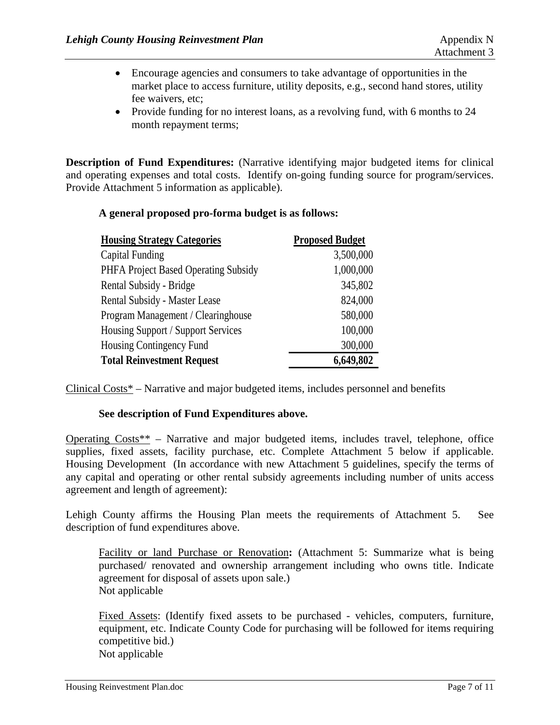- Encourage agencies and consumers to take advantage of opportunities in the market place to access furniture, utility deposits, e.g., second hand stores, utility fee waivers, etc;
- Provide funding for no interest loans, as a revolving fund, with 6 months to 24 month repayment terms;

**Description of Fund Expenditures:** (Narrative identifying major budgeted items for clinical and operating expenses and total costs. Identify on-going funding source for program/services. Provide Attachment 5 information as applicable).

#### **A general proposed pro-forma budget is as follows:**

| <b>Housing Strategy Categories</b>   | <b>Proposed Budget</b> |
|--------------------------------------|------------------------|
| <b>Capital Funding</b>               | 3,500,000              |
| PHFA Project Based Operating Subsidy | 1,000,000              |
| Rental Subsidy - Bridge              | 345,802                |
| Rental Subsidy - Master Lease        | 824,000                |
| Program Management / Clearinghouse   | 580,000                |
| Housing Support / Support Services   | 100,000                |
| Housing Contingency Fund             | 300,000                |
| <b>Total Reinvestment Request</b>    | 6,649,802              |

Clinical Costs\* – Narrative and major budgeted items, includes personnel and benefits

#### **See description of Fund Expenditures above.**

Operating Costs\*\* – Narrative and major budgeted items, includes travel, telephone, office supplies, fixed assets, facility purchase, etc. Complete Attachment 5 below if applicable. Housing Development (In accordance with new Attachment 5 guidelines, specify the terms of any capital and operating or other rental subsidy agreements including number of units access agreement and length of agreement):

Lehigh County affirms the Housing Plan meets the requirements of Attachment 5. See description of fund expenditures above.

Facility or land Purchase or Renovation**:** (Attachment 5: Summarize what is being purchased/ renovated and ownership arrangement including who owns title. Indicate agreement for disposal of assets upon sale.) Not applicable

Fixed Assets: (Identify fixed assets to be purchased - vehicles, computers, furniture, equipment, etc. Indicate County Code for purchasing will be followed for items requiring competitive bid.) Not applicable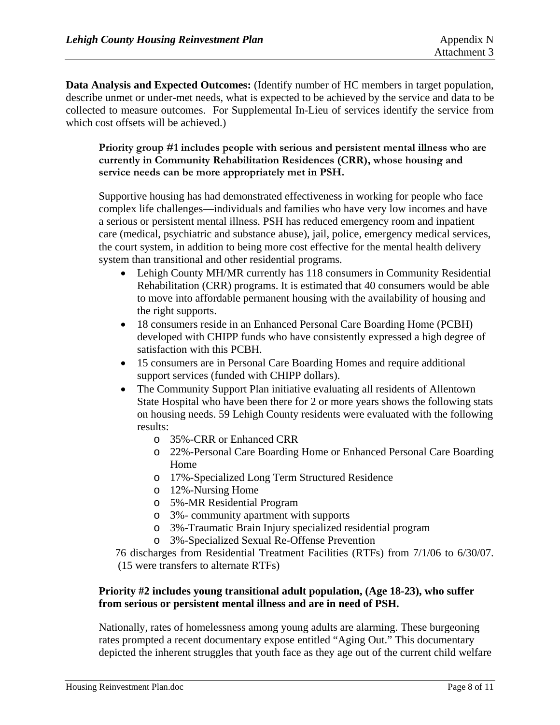**Data Analysis and Expected Outcomes:** (Identify number of HC members in target population, describe unmet or under-met needs, what is expected to be achieved by the service and data to be collected to measure outcomes. For Supplemental In-Lieu of services identify the service from which cost offsets will be achieved.)

**Priority group #1 includes people with serious and persistent mental illness who are currently in Community Rehabilitation Residences (CRR), whose housing and service needs can be more appropriately met in PSH.** 

Supportive housing has had demonstrated effectiveness in working for people who face complex life challenges—individuals and families who have very low incomes and have a serious or persistent mental illness. PSH has reduced emergency room and inpatient care (medical, psychiatric and substance abuse), jail, police, emergency medical services, the court system, in addition to being more cost effective for the mental health delivery system than transitional and other residential programs.

- Lehigh County MH/MR currently has 118 consumers in Community Residential Rehabilitation (CRR) programs. It is estimated that 40 consumers would be able to move into affordable permanent housing with the availability of housing and the right supports.
- 18 consumers reside in an Enhanced Personal Care Boarding Home (PCBH) developed with CHIPP funds who have consistently expressed a high degree of satisfaction with this PCBH.
- 15 consumers are in Personal Care Boarding Homes and require additional support services (funded with CHIPP dollars).
- The Community Support Plan initiative evaluating all residents of Allentown State Hospital who have been there for 2 or more years shows the following stats on housing needs. 59 Lehigh County residents were evaluated with the following results:
	- o 35%-CRR or Enhanced CRR
	- o 22%-Personal Care Boarding Home or Enhanced Personal Care Boarding Home
	- o 17%-Specialized Long Term Structured Residence
	- o 12%-Nursing Home
	- o 5%-MR Residential Program
	- o 3%- community apartment with supports
	- o 3%-Traumatic Brain Injury specialized residential program
	- o 3%-Specialized Sexual Re-Offense Prevention

76 discharges from Residential Treatment Facilities (RTFs) from 7/1/06 to 6/30/07. (15 were transfers to alternate RTFs)

# **Priority #2 includes young transitional adult population, (Age 18-23), who suffer from serious or persistent mental illness and are in need of PSH.**

Nationally, rates of homelessness among young adults are alarming. These burgeoning rates prompted a recent documentary expose entitled "Aging Out." This documentary depicted the inherent struggles that youth face as they age out of the current child welfare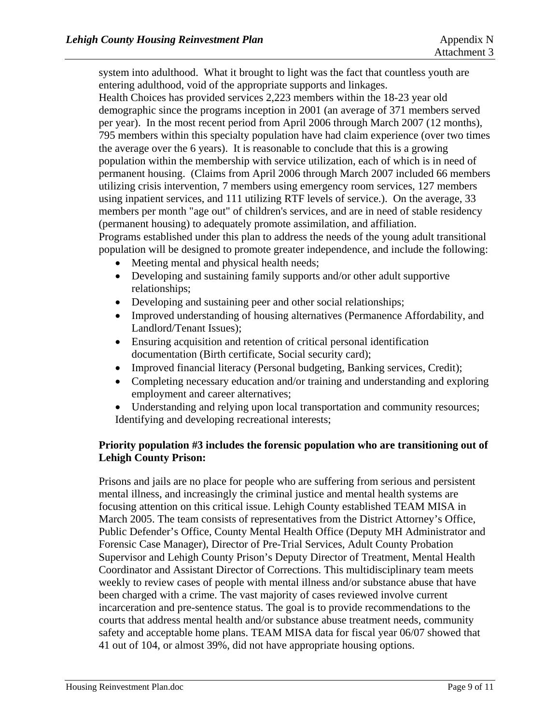system into adulthood. What it brought to light was the fact that countless youth are entering adulthood, void of the appropriate supports and linkages.

Health Choices has provided services 2,223 members within the 18-23 year old demographic since the programs inception in 2001 (an average of 371 members served per year). In the most recent period from April 2006 through March 2007 (12 months), 795 members within this specialty population have had claim experience (over two times the average over the 6 years). It is reasonable to conclude that this is a growing population within the membership with service utilization, each of which is in need of permanent housing. (Claims from April 2006 through March 2007 included 66 members utilizing crisis intervention, 7 members using emergency room services, 127 members using inpatient services, and 111 utilizing RTF levels of service.). On the average, 33 members per month "age out" of children's services, and are in need of stable residency (permanent housing) to adequately promote assimilation, and affiliation. Programs established under this plan to address the needs of the young adult transitional population will be designed to promote greater independence, and include the following:

- Meeting mental and physical health needs:
- Developing and sustaining family supports and/or other adult supportive relationships;
- Developing and sustaining peer and other social relationships;
- Improved understanding of housing alternatives (Permanence Affordability, and Landlord/Tenant Issues);
- Ensuring acquisition and retention of critical personal identification documentation (Birth certificate, Social security card);
- Improved financial literacy (Personal budgeting, Banking services, Credit);
- Completing necessary education and/or training and understanding and exploring employment and career alternatives;
- Understanding and relying upon local transportation and community resources; Identifying and developing recreational interests;

## **Priority population #3 includes the forensic population who are transitioning out of Lehigh County Prison:**

Prisons and jails are no place for people who are suffering from serious and persistent mental illness, and increasingly the criminal justice and mental health systems are focusing attention on this critical issue. Lehigh County established TEAM MISA in March 2005. The team consists of representatives from the District Attorney's Office, Public Defender's Office, County Mental Health Office (Deputy MH Administrator and Forensic Case Manager), Director of Pre-Trial Services, Adult County Probation Supervisor and Lehigh County Prison's Deputy Director of Treatment, Mental Health Coordinator and Assistant Director of Corrections. This multidisciplinary team meets weekly to review cases of people with mental illness and/or substance abuse that have been charged with a crime. The vast majority of cases reviewed involve current incarceration and pre-sentence status. The goal is to provide recommendations to the courts that address mental health and/or substance abuse treatment needs, community safety and acceptable home plans. TEAM MISA data for fiscal year 06/07 showed that 41 out of 104, or almost 39%, did not have appropriate housing options.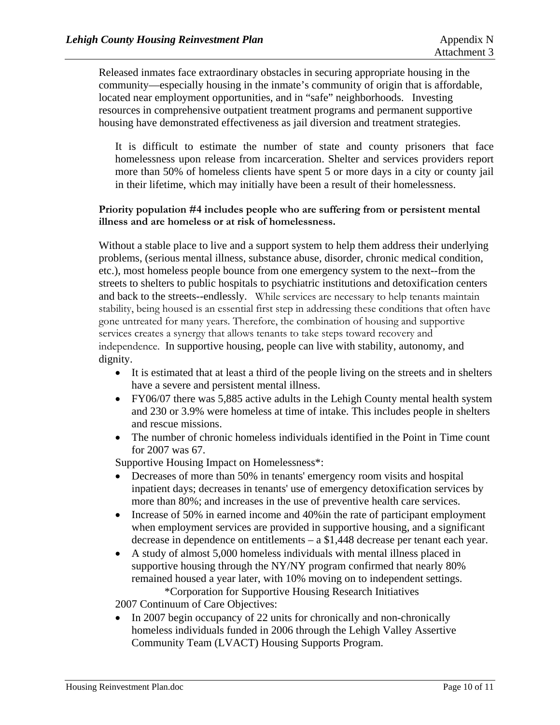Released inmates face extraordinary obstacles in securing appropriate housing in the community—especially housing in the inmate's community of origin that is affordable, located near employment opportunities, and in "safe" neighborhoods. Investing resources in comprehensive outpatient treatment programs and permanent supportive housing have demonstrated effectiveness as jail diversion and treatment strategies.

It is difficult to estimate the number of state and county prisoners that face homelessness upon release from incarceration. Shelter and services providers report more than 50% of homeless clients have spent 5 or more days in a city or county jail in their lifetime, which may initially have been a result of their homelessness.

#### **Priority population #4 includes people who are suffering from or persistent mental illness and are homeless or at risk of homelessness.**

Without a stable place to live and a support system to help them address their underlying problems, (serious mental illness, substance abuse, disorder, chronic medical condition, etc.), most homeless people bounce from one emergency system to the next--from the streets to shelters to public hospitals to psychiatric institutions and detoxification centers and back to the streets--endlessly. While services are necessary to help tenants maintain stability, being housed is an essential first step in addressing these conditions that often have gone untreated for many years. Therefore, the combination of housing and supportive services creates a synergy that allows tenants to take steps toward recovery and independence. In supportive housing, people can live with stability, autonomy, and dignity.

- It is estimated that at least a third of the people living on the streets and in shelters have a severe and persistent mental illness.
- FY06/07 there was 5,885 active adults in the Lehigh County mental health system and 230 or 3.9% were homeless at time of intake. This includes people in shelters and rescue missions.
- The number of chronic homeless individuals identified in the Point in Time count for 2007 was 67.

Supportive Housing Impact on Homelessness\*:

- Decreases of more than 50% in tenants' emergency room visits and hospital inpatient days; decreases in tenants' use of emergency detoxification services by more than 80%; and increases in the use of preventive health care services.
- Increase of 50% in earned income and 40% in the rate of participant employment when employment services are provided in supportive housing, and a significant decrease in dependence on entitlements – a \$1,448 decrease per tenant each year.
- A study of almost 5,000 homeless individuals with mental illness placed in supportive housing through the NY/NY program confirmed that nearly 80% remained housed a year later, with 10% moving on to independent settings. \*Corporation for Supportive Housing Research Initiatives

2007 Continuum of Care Objectives:

• In 2007 begin occupancy of 22 units for chronically and non-chronically homeless individuals funded in 2006 through the Lehigh Valley Assertive Community Team (LVACT) Housing Supports Program.